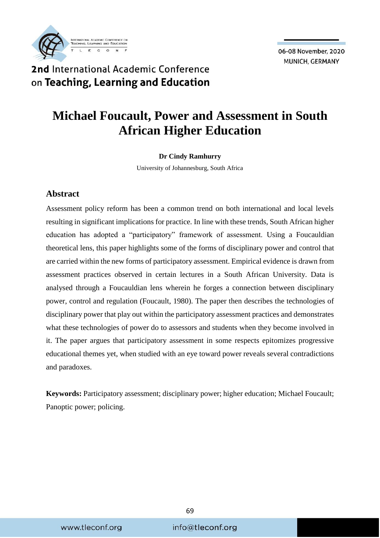

## 2nd International Academic Conference on Teaching, Learning and Education

# **Michael Foucault, Power and Assessment in South African Higher Education**

#### **Dr Cindy Ramhurry**

University of Johannesburg, South Africa

#### **Abstract**

Assessment policy reform has been a common trend on both international and local levels resulting in significant implications for practice. In line with these trends, South African higher education has adopted a "participatory" framework of assessment. Using a Foucauldian theoretical lens, this paper highlights some of the forms of disciplinary power and control that are carried within the new forms of participatory assessment. Empirical evidence is drawn from assessment practices observed in certain lectures in a South African University. Data is analysed through a Foucauldian lens wherein he forges a connection between disciplinary power, control and regulation (Foucault, 1980). The paper then describes the technologies of disciplinary power that play out within the participatory assessment practices and demonstrates what these technologies of power do to assessors and students when they become involved in it. The paper argues that participatory assessment in some respects epitomizes progressive educational themes yet, when studied with an eye toward power reveals several contradictions and paradoxes.

**Keywords:** Participatory assessment; disciplinary power; higher education; Michael Foucault; Panoptic power; policing.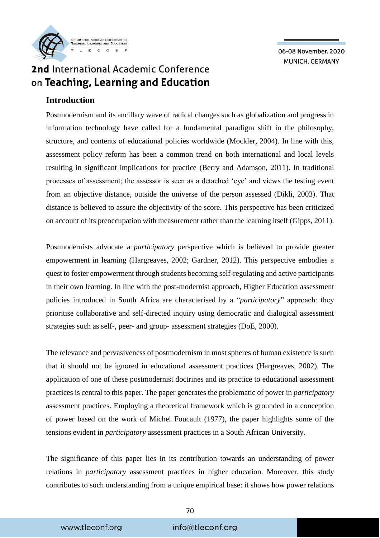

## 2nd International Academic Conference on Teaching, Learning and Education

#### **Introduction**

Postmodernism and its ancillary wave of radical changes such as globalization and progress in information technology have called for a fundamental paradigm shift in the philosophy, structure, and contents of educational policies worldwide (Mockler, 2004). In line with this, assessment policy reform has been a common trend on both international and local levels resulting in significant implications for practice (Berry and Adamson, 2011). In traditional processes of assessment; the assessor is seen as a detached 'eye' and views the testing event from an objective distance, outside the universe of the person assessed (Dikli, 2003). That distance is believed to assure the objectivity of the score. This perspective has been criticized on account of its preoccupation with measurement rather than the learning itself (Gipps, 2011).

Postmodernists advocate a *participatory* perspective which is believed to provide greater empowerment in learning (Hargreaves, 2002; Gardner, 2012). This perspective embodies a quest to foster empowerment through students becoming self-regulating and active participants in their own learning. In line with the post-modernist approach, Higher Education assessment policies introduced in South Africa are characterised by a "*participatory*" approach: they prioritise collaborative and self-directed inquiry using democratic and dialogical assessment strategies such as self-, peer- and group- assessment strategies (DoE, 2000).

The relevance and pervasiveness of postmodernism in most spheres of human existence is such that it should not be ignored in educational assessment practices (Hargreaves, 2002). The application of one of these postmodernist doctrines and its practice to educational assessment practices is central to this paper. The paper generates the problematic of power in *participatory* assessment practices. Employing a theoretical framework which is grounded in a conception of power based on the work of Michel Foucault (1977), the paper highlights some of the tensions evident in *participatory* assessment practices in a South African University.

The significance of this paper lies in its contribution towards an understanding of power relations in *participatory* assessment practices in higher education. Moreover, this study contributes to such understanding from a unique empirical base: it shows how power relations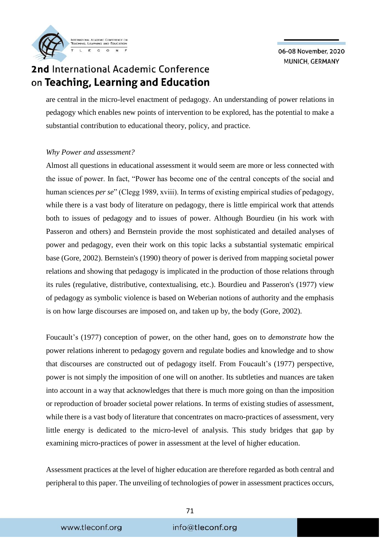2nd International Academic Conference on Teaching, Learning and Education

are central in the micro-level enactment of pedagogy. An understanding of power relations in pedagogy which enables new points of intervention to be explored, has the potential to make a substantial contribution to educational theory, policy, and practice.

#### *Why Power and assessment?*

Almost all questions in educational assessment it would seem are more or less connected with the issue of power. In fact, "Power has become one of the central concepts of the social and human sciences *per se*" (Clegg 1989, xviii). In terms of existing empirical studies of pedagogy, while there is a vast body of literature on pedagogy, there is little empirical work that attends both to issues of pedagogy and to issues of power. Although Bourdieu (in his work with Passeron and others) and Bernstein provide the most sophisticated and detailed analyses of power and pedagogy, even their work on this topic lacks a substantial systematic empirical base (Gore, 2002). Bernstein's (1990) theory of power is derived from mapping societal power relations and showing that pedagogy is implicated in the production of those relations through its rules (regulative, distributive, contextualising, etc.). Bourdieu and Passeron's (1977) view of pedagogy as symbolic violence is based on Weberian notions of authority and the emphasis is on how large discourses are imposed on, and taken up by, the body (Gore, 2002).

Foucault's (1977) conception of power, on the other hand, goes on to *demonstrate* how the power relations inherent to pedagogy govern and regulate bodies and knowledge and to show that discourses are constructed out of pedagogy itself. From Foucault's (1977) perspective, power is not simply the imposition of one will on another. Its subtleties and nuances are taken into account in a way that acknowledges that there is much more going on than the imposition or reproduction of broader societal power relations. In terms of existing studies of assessment, while there is a vast body of literature that concentrates on macro-practices of assessment, very little energy is dedicated to the micro-level of analysis. This study bridges that gap by examining micro-practices of power in assessment at the level of higher education.

Assessment practices at the level of higher education are therefore regarded as both central and peripheral to this paper. The unveiling of technologies of power in assessment practices occurs,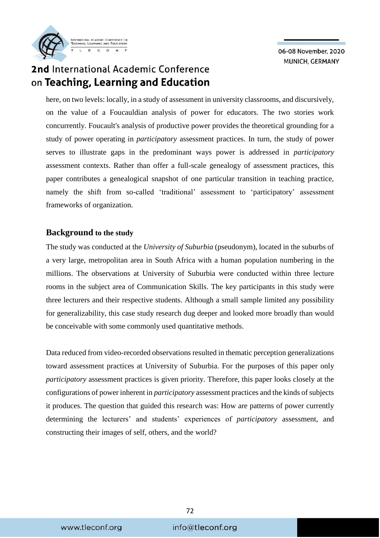## 2nd International Academic Conference on Teaching, Learning and Education

here, on two levels: locally, in a study of assessment in university classrooms, and discursively, on the value of a Foucauldian analysis of power for educators. The two stories work concurrently. Foucault's analysis of productive power provides the theoretical grounding for a study of power operating in *participatory* assessment practices. In turn, the study of power serves to illustrate gaps in the predominant ways power is addressed in *participatory* assessment contexts. Rather than offer a full-scale genealogy of assessment practices, this paper contributes a genealogical snapshot of one particular transition in teaching practice, namely the shift from so-called 'traditional' assessment to 'participatory' assessment frameworks of organization.

#### **Background to the study**

The study was conducted at the *University of Suburbia* (pseudonym), located in the suburbs of a very large, metropolitan area in South Africa with a human population numbering in the millions. The observations at University of Suburbia were conducted within three lecture rooms in the subject area of Communication Skills. The key participants in this study were three lecturers and their respective students. Although a small sample limited any possibility for generalizability, this case study research dug deeper and looked more broadly than would be conceivable with some commonly used quantitative methods.

Data reduced from video-recorded observations resulted in thematic perception generalizations toward assessment practices at University of Suburbia. For the purposes of this paper only *participatory* assessment practices is given priority. Therefore, this paper looks closely at the configurations of power inherent in *participatory* assessment practices and the kinds of subjects it produces. The question that guided this research was: How are patterns of power currently determining the lecturers' and students' experiences of *participatory* assessment, and constructing their images of self, others, and the world?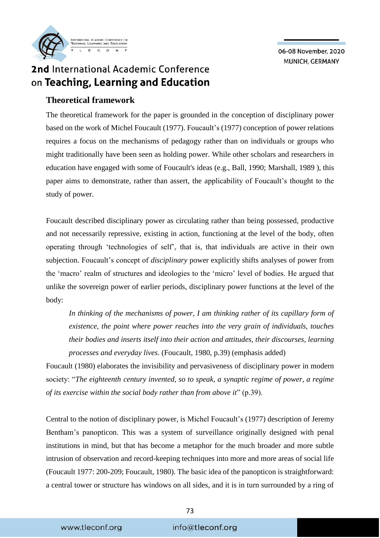

# 2nd International Academic Conference on Teaching, Learning and Education

#### **Theoretical framework**

The theoretical framework for the paper is grounded in the conception of disciplinary power based on the work of Michel Foucault (1977). Foucault's (1977) conception of power relations requires a focus on the mechanisms of pedagogy rather than on individuals or groups who might traditionally have been seen as holding power. While other scholars and researchers in education have engaged with some of Foucault's ideas (e.g., Ball, 1990; Marshall, 1989 ), this paper aims to demonstrate, rather than assert, the applicability of Foucault's thought to the study of power.

Foucault described disciplinary power as circulating rather than being possessed, productive and not necessarily repressive, existing in action, functioning at the level of the body, often operating through 'technologies of self', that is, that individuals are active in their own subjection. Foucault's concept of *disciplinary* power explicitly shifts analyses of power from the 'macro' realm of structures and ideologies to the 'micro' level of bodies. He argued that unlike the sovereign power of earlier periods, disciplinary power functions at the level of the body:

In thinking of the mechanisms of power, I am thinking rather of its capillary form of *existence, the point where power reaches into the very grain of individuals, touches their bodies and inserts itself into their action and attitudes, their discourses, learning processes and everyday lives*. (Foucault, 1980, p.39) (emphasis added)

Foucault (1980) elaborates the invisibility and pervasiveness of disciplinary power in modern society: "*The eighteenth century invented, so to speak, a synaptic regime of power, a regime of its exercise within the social body rather than from above it*" (p.39).

Central to the notion of disciplinary power, is Michel Foucault's (1977) description of Jeremy Bentham's panopticon. This was a system of surveillance originally designed with penal institutions in mind, but that has become a metaphor for the much broader and more subtle intrusion of observation and record-keeping techniques into more and more areas of social life (Foucault 1977: 200-209; Foucault, 1980). The basic idea of the panopticon is straightforward: a central tower or structure has windows on all sides, and it is in turn surrounded by a ring of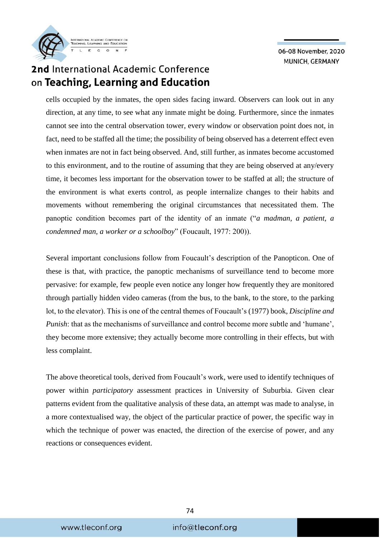## 2nd International Academic Conference on Teaching, Learning and Education

cells occupied by the inmates, the open sides facing inward. Observers can look out in any direction, at any time, to see what any inmate might be doing. Furthermore, since the inmates cannot see into the central observation tower, every window or observation point does not, in fact, need to be staffed all the time; the possibility of being observed has a deterrent effect even when inmates are not in fact being observed. And, still further, as inmates become accustomed to this environment, and to the routine of assuming that they are being observed at any/every time, it becomes less important for the observation tower to be staffed at all; the structure of the environment is what exerts control, as people internalize changes to their habits and movements without remembering the original circumstances that necessitated them. The panoptic condition becomes part of the identity of an inmate ("*a madman, a patient, a condemned man, a worker or a schoolboy*" (Foucault, 1977: 200)).

Several important conclusions follow from Foucault's description of the Panopticon. One of these is that, with practice, the panoptic mechanisms of surveillance tend to become more pervasive: for example, few people even notice any longer how frequently they are monitored through partially hidden video cameras (from the bus, to the bank, to the store, to the parking lot, to the elevator). This is one of the central themes of Foucault's (1977) book, *Discipline and Punish*: that as the mechanisms of surveillance and control become more subtle and 'humane', they become more extensive; they actually become more controlling in their effects, but with less complaint.

The above theoretical tools, derived from Foucault's work, were used to identify techniques of power within *participatory* assessment practices in University of Suburbia. Given clear patterns evident from the qualitative analysis of these data, an attempt was made to analyse, in a more contextualised way, the object of the particular practice of power, the specific way in which the technique of power was enacted, the direction of the exercise of power, and any reactions or consequences evident.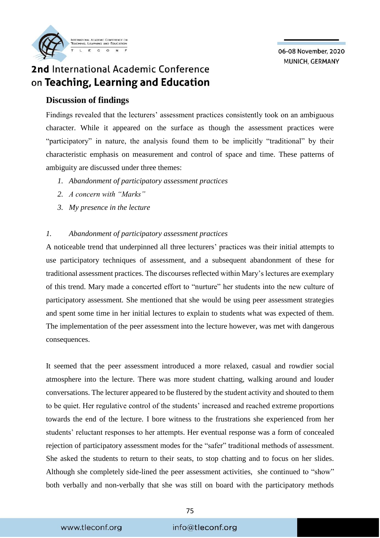

# 2nd International Academic Conference on Teaching, Learning and Education

#### **Discussion of findings**

Findings revealed that the lecturers' assessment practices consistently took on an ambiguous character. While it appeared on the surface as though the assessment practices were "participatory" in nature, the analysis found them to be implicitly "traditional" by their characteristic emphasis on measurement and control of space and time. These patterns of ambiguity are discussed under three themes:

- *1. Abandonment of participatory assessment practices*
- *2. A concern with "Marks"*
- *3. My presence in the lecture*

#### *1. Abandonment of participatory assessment practices*

A noticeable trend that underpinned all three lecturers' practices was their initial attempts to use participatory techniques of assessment, and a subsequent abandonment of these for traditional assessment practices. The discourses reflected within Mary's lectures are exemplary of this trend. Mary made a concerted effort to "nurture" her students into the new culture of participatory assessment. She mentioned that she would be using peer assessment strategies and spent some time in her initial lectures to explain to students what was expected of them. The implementation of the peer assessment into the lecture however, was met with dangerous consequences.

It seemed that the peer assessment introduced a more relaxed, casual and rowdier social atmosphere into the lecture. There was more student chatting, walking around and louder conversations. The lecturer appeared to be flustered by the student activity and shouted to them to be quiet. Her regulative control of the students' increased and reached extreme proportions towards the end of the lecture. I bore witness to the frustrations she experienced from her students' reluctant responses to her attempts. Her eventual response was a form of concealed rejection of participatory assessment modes for the "safer" traditional methods of assessment. She asked the students to return to their seats, to stop chatting and to focus on her slides. Although she completely side-lined the peer assessment activities, she continued to "show" both verbally and non-verbally that she was still on board with the participatory methods

#### info@tleconf.org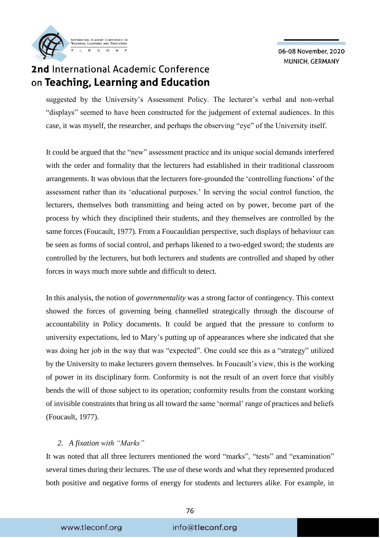## 2nd International Academic Conference on Teaching, Learning and Education

suggested by the University's Assessment Policy. The lecturer's verbal and non-verbal "displays" seemed to have been constructed for the judgement of external audiences. In this case, it was myself, the researcher, and perhaps the observing "eye" of the University itself.

It could be argued that the "new" assessment practice and its unique social demands interfered with the order and formality that the lecturers had established in their traditional classroom arrangements. It was obvious that the lecturers fore-grounded the 'controlling functions' of the assessment rather than its 'educational purposes.' In serving the social control function, the lecturers, themselves both transmitting and being acted on by power, become part of the process by which they disciplined their students, and they themselves are controlled by the same forces (Foucault, 1977). From a Foucauldian perspective, such displays of behaviour can be seen as forms of social control, and perhaps likened to a two-edged sword; the students are controlled by the lecturers, but both lecturers and students are controlled and shaped by other forces in ways much more subtle and difficult to detect.

In this analysis, the notion of *governmentality* was a strong factor of contingency. This context showed the forces of governing being channelled strategically through the discourse of accountability in Policy documents. It could be argued that the pressure to conform to university expectations, led to Mary's putting up of appearances where she indicated that she was doing her job in the way that was "expected". One could see this as a "strategy" utilized by the University to make lecturers govern themselves. In Foucault's view, this is the working of power in its disciplinary form. Conformity is not the result of an overt force that visibly bends the will of those subject to its operation; conformity results from the constant working of invisible constraints that bring us all toward the same 'normal' range of practices and beliefs (Foucault, 1977).

#### *2. A fixation with "Marks"*

It was noted that all three lecturers mentioned the word "marks", "tests" and "examination" several times during their lectures. The use of these words and what they represented produced both positive and negative forms of energy for students and lecturers alike. For example, in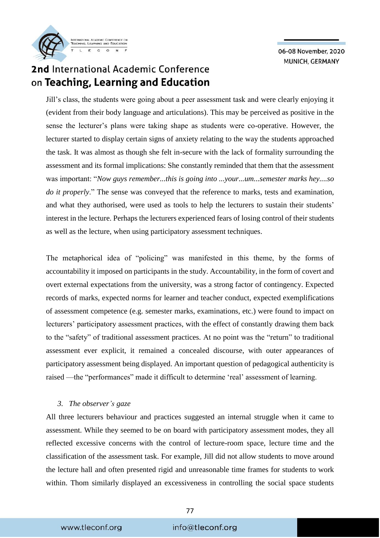## 2nd International Academic Conference on Teaching, Learning and Education

Jill's class, the students were going about a peer assessment task and were clearly enjoying it (evident from their body language and articulations). This may be perceived as positive in the sense the lecturer's plans were taking shape as students were co-operative. However, the lecturer started to display certain signs of anxiety relating to the way the students approached the task. It was almost as though she felt in-secure with the lack of formality surrounding the assessment and its formal implications: She constantly reminded that them that the assessment was important: "*Now guys remember...this is going into ...your...um...semester marks hey....so do it properly*." The sense was conveyed that the reference to marks, tests and examination, and what they authorised, were used as tools to help the lecturers to sustain their students' interest in the lecture. Perhaps the lecturers experienced fears of losing control of their students as well as the lecture, when using participatory assessment techniques.

The metaphorical idea of "policing" was manifested in this theme, by the forms of accountability it imposed on participants in the study. Accountability, in the form of covert and overt external expectations from the university, was a strong factor of contingency. Expected records of marks, expected norms for learner and teacher conduct, expected exemplifications of assessment competence (e.g. semester marks, examinations, etc.) were found to impact on lecturers' participatory assessment practices, with the effect of constantly drawing them back to the "safety" of traditional assessment practices. At no point was the "return" to traditional assessment ever explicit, it remained a concealed discourse, with outer appearances of participatory assessment being displayed. An important question of pedagogical authenticity is raised —the "performances" made it difficult to determine 'real' assessment of learning.

#### *3. The observer's gaze*

All three lecturers behaviour and practices suggested an internal struggle when it came to assessment. While they seemed to be on board with participatory assessment modes, they all reflected excessive concerns with the control of lecture-room space, lecture time and the classification of the assessment task. For example, Jill did not allow students to move around the lecture hall and often presented rigid and unreasonable time frames for students to work within. Thom similarly displayed an excessiveness in controlling the social space students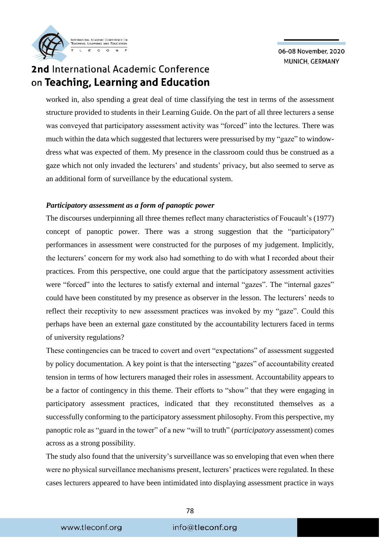## 2nd International Academic Conference on Teaching, Learning and Education

worked in, also spending a great deal of time classifying the test in terms of the assessment structure provided to students in their Learning Guide. On the part of all three lecturers a sense was conveyed that participatory assessment activity was "forced" into the lectures. There was much within the data which suggested that lecturers were pressurised by my "gaze" to windowdress what was expected of them. My presence in the classroom could thus be construed as a gaze which not only invaded the lecturers' and students' privacy, but also seemed to serve as an additional form of surveillance by the educational system.

#### *Participatory assessment as a form of panoptic power*

The discourses underpinning all three themes reflect many characteristics of Foucault's (1977) concept of panoptic power. There was a strong suggestion that the "participatory" performances in assessment were constructed for the purposes of my judgement. Implicitly, the lecturers' concern for my work also had something to do with what I recorded about their practices. From this perspective, one could argue that the participatory assessment activities were "forced" into the lectures to satisfy external and internal "gazes". The "internal gazes" could have been constituted by my presence as observer in the lesson. The lecturers' needs to reflect their receptivity to new assessment practices was invoked by my "gaze". Could this perhaps have been an external gaze constituted by the accountability lecturers faced in terms of university regulations?

These contingencies can be traced to covert and overt "expectations" of assessment suggested by policy documentation. A key point is that the intersecting "gazes" of accountability created tension in terms of how lecturers managed their roles in assessment. Accountability appears to be a factor of contingency in this theme. Their efforts to "show" that they were engaging in participatory assessment practices, indicated that they reconstituted themselves as a successfully conforming to the participatory assessment philosophy. From this perspective, my panoptic role as "guard in the tower" of a new "will to truth" (*participatory* assessment) comes across as a strong possibility.

The study also found that the university's surveillance was so enveloping that even when there were no physical surveillance mechanisms present, lecturers' practices were regulated. In these cases lecturers appeared to have been intimidated into displaying assessment practice in ways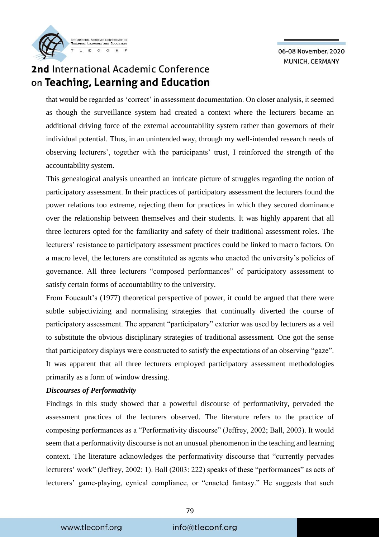## 2nd International Academic Conference on Teaching, Learning and Education

that would be regarded as 'correct' in assessment documentation. On closer analysis, it seemed as though the surveillance system had created a context where the lecturers became an additional driving force of the external accountability system rather than governors of their individual potential. Thus, in an unintended way, through my well-intended research needs of observing lecturers', together with the participants' trust, I reinforced the strength of the accountability system.

This genealogical analysis unearthed an intricate picture of struggles regarding the notion of participatory assessment. In their practices of participatory assessment the lecturers found the power relations too extreme, rejecting them for practices in which they secured dominance over the relationship between themselves and their students. It was highly apparent that all three lecturers opted for the familiarity and safety of their traditional assessment roles. The lecturers' resistance to participatory assessment practices could be linked to macro factors. On a macro level, the lecturers are constituted as agents who enacted the university's policies of governance. All three lecturers "composed performances" of participatory assessment to satisfy certain forms of accountability to the university.

From Foucault's (1977) theoretical perspective of power, it could be argued that there were subtle subjectivizing and normalising strategies that continually diverted the course of participatory assessment. The apparent "participatory" exterior was used by lecturers as a veil to substitute the obvious disciplinary strategies of traditional assessment. One got the sense that participatory displays were constructed to satisfy the expectations of an observing "gaze". It was apparent that all three lecturers employed participatory assessment methodologies primarily as a form of window dressing.

#### *Discourses of Performativity*

Findings in this study showed that a powerful discourse of performativity, pervaded the assessment practices of the lecturers observed. The literature refers to the practice of composing performances as a "Performativity discourse" (Jeffrey, 2002; Ball, 2003). It would seem that a performativity discourse is not an unusual phenomenon in the teaching and learning context. The literature acknowledges the performativity discourse that "currently pervades lecturers' work" (Jeffrey, 2002: 1). Ball (2003: 222) speaks of these "performances" as acts of lecturers' game-playing, cynical compliance, or "enacted fantasy." He suggests that such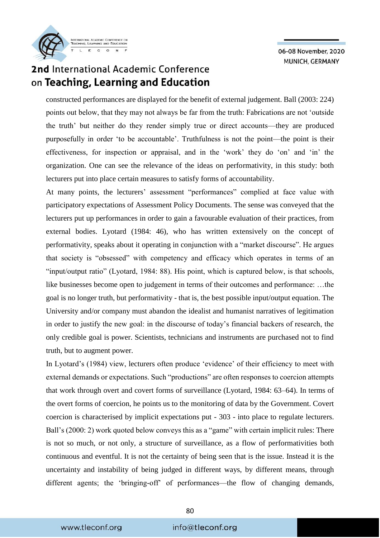

### 2nd International Academic Conference on Teaching, Learning and Education

constructed performances are displayed for the benefit of external judgement. Ball (2003: 224) points out below, that they may not always be far from the truth: Fabrications are not 'outside the truth' but neither do they render simply true or direct accounts—they are produced purposefully in order 'to be accountable'. Truthfulness is not the point—the point is their effectiveness, for inspection or appraisal, and in the 'work' they do 'on' and 'in' the organization. One can see the relevance of the ideas on performativity, in this study: both lecturers put into place certain measures to satisfy forms of accountability.

At many points, the lecturers' assessment "performances" complied at face value with participatory expectations of Assessment Policy Documents. The sense was conveyed that the lecturers put up performances in order to gain a favourable evaluation of their practices, from external bodies. Lyotard (1984: 46), who has written extensively on the concept of performativity, speaks about it operating in conjunction with a "market discourse". He argues that society is "obsessed" with competency and efficacy which operates in terms of an "input/output ratio" (Lyotard, 1984: 88). His point, which is captured below, is that schools, like businesses become open to judgement in terms of their outcomes and performance: …the goal is no longer truth, but performativity - that is, the best possible input/output equation. The University and/or company must abandon the idealist and humanist narratives of legitimation in order to justify the new goal: in the discourse of today's financial backers of research, the only credible goal is power. Scientists, technicians and instruments are purchased not to find truth, but to augment power.

In Lyotard's (1984) view, lecturers often produce 'evidence' of their efficiency to meet with external demands or expectations. Such "productions" are often responses to coercion attempts that work through overt and covert forms of surveillance (Lyotard, 1984: 63–64). In terms of the overt forms of coercion, he points us to the monitoring of data by the Government. Covert coercion is characterised by implicit expectations put - 303 - into place to regulate lecturers. Ball's (2000: 2) work quoted below conveys this as a "game" with certain implicit rules: There is not so much, or not only, a structure of surveillance, as a flow of performativities both continuous and eventful. It is not the certainty of being seen that is the issue. Instead it is the uncertainty and instability of being judged in different ways, by different means, through different agents; the 'bringing-off' of performances—the flow of changing demands,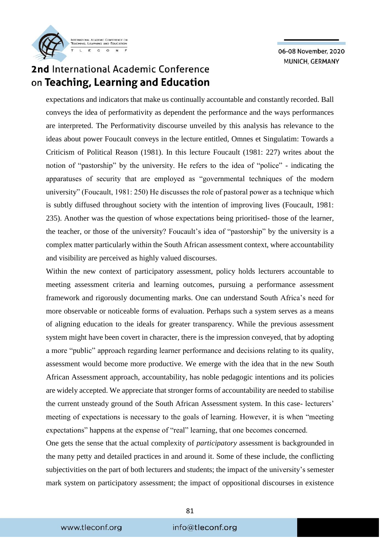

## 2nd International Academic Conference on Teaching, Learning and Education

expectations and indicators that make us continually accountable and constantly recorded. Ball conveys the idea of performativity as dependent the performance and the ways performances are interpreted. The Performativity discourse unveiled by this analysis has relevance to the ideas about power Foucault conveys in the lecture entitled, Omnes et Singulatim: Towards a Criticism of Political Reason (1981). In this lecture Foucault (1981: 227) writes about the notion of "pastorship" by the university. He refers to the idea of "police" - indicating the apparatuses of security that are employed as "governmental techniques of the modern university" (Foucault, 1981: 250) He discusses the role of pastoral power as a technique which is subtly diffused throughout society with the intention of improving lives (Foucault, 1981: 235). Another was the question of whose expectations being prioritised- those of the learner, the teacher, or those of the university? Foucault's idea of "pastorship" by the university is a complex matter particularly within the South African assessment context, where accountability and visibility are perceived as highly valued discourses.

Within the new context of participatory assessment, policy holds lecturers accountable to meeting assessment criteria and learning outcomes, pursuing a performance assessment framework and rigorously documenting marks. One can understand South Africa's need for more observable or noticeable forms of evaluation. Perhaps such a system serves as a means of aligning education to the ideals for greater transparency. While the previous assessment system might have been covert in character, there is the impression conveyed, that by adopting a more "public" approach regarding learner performance and decisions relating to its quality, assessment would become more productive. We emerge with the idea that in the new South African Assessment approach, accountability, has noble pedagogic intentions and its policies are widely accepted. We appreciate that stronger forms of accountability are needed to stabilise the current unsteady ground of the South African Assessment system. In this case- lecturers' meeting of expectations is necessary to the goals of learning. However, it is when "meeting expectations" happens at the expense of "real" learning, that one becomes concerned.

One gets the sense that the actual complexity of *participatory* assessment is backgrounded in the many petty and detailed practices in and around it. Some of these include, the conflicting subjectivities on the part of both lecturers and students; the impact of the university's semester mark system on participatory assessment; the impact of oppositional discourses in existence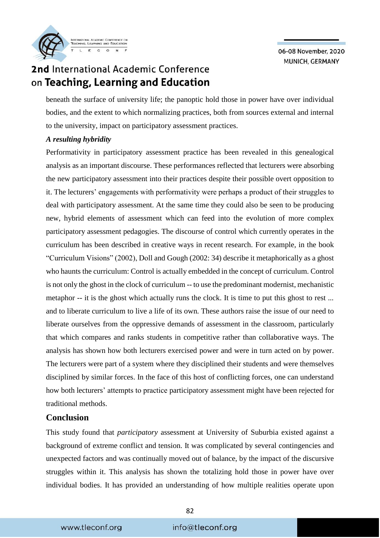

## 2nd International Academic Conference on Teaching, Learning and Education

beneath the surface of university life; the panoptic hold those in power have over individual bodies, and the extent to which normalizing practices, both from sources external and internal to the university, impact on participatory assessment practices.

#### *A resulting hybridity*

Performativity in participatory assessment practice has been revealed in this genealogical analysis as an important discourse. These performances reflected that lecturers were absorbing the new participatory assessment into their practices despite their possible overt opposition to it. The lecturers' engagements with performativity were perhaps a product of their struggles to deal with participatory assessment. At the same time they could also be seen to be producing new, hybrid elements of assessment which can feed into the evolution of more complex participatory assessment pedagogies. The discourse of control which currently operates in the curriculum has been described in creative ways in recent research. For example, in the book "Curriculum Visions" (2002), Doll and Gough (2002: 34) describe it metaphorically as a ghost who haunts the curriculum: Control is actually embedded in the concept of curriculum. Control is not only the ghost in the clock of curriculum -- to use the predominant modernist, mechanistic metaphor -- it is the ghost which actually runs the clock. It is time to put this ghost to rest ... and to liberate curriculum to live a life of its own. These authors raise the issue of our need to liberate ourselves from the oppressive demands of assessment in the classroom, particularly that which compares and ranks students in competitive rather than collaborative ways. The analysis has shown how both lecturers exercised power and were in turn acted on by power. The lecturers were part of a system where they disciplined their students and were themselves disciplined by similar forces. In the face of this host of conflicting forces, one can understand how both lecturers' attempts to practice participatory assessment might have been rejected for traditional methods.

#### **Conclusion**

This study found that *participatory* assessment at University of Suburbia existed against a background of extreme conflict and tension. It was complicated by several contingencies and unexpected factors and was continually moved out of balance, by the impact of the discursive struggles within it. This analysis has shown the totalizing hold those in power have over individual bodies. It has provided an understanding of how multiple realities operate upon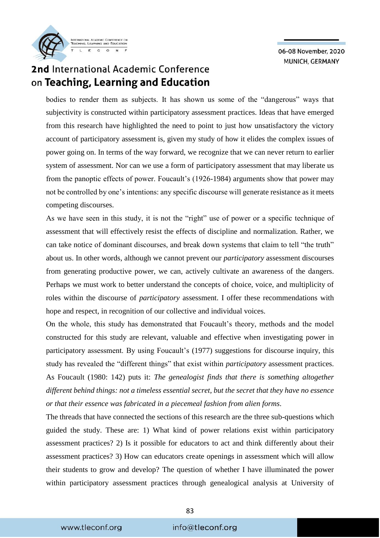

### 2nd International Academic Conference on Teaching, Learning and Education

bodies to render them as subjects. It has shown us some of the "dangerous" ways that subjectivity is constructed within participatory assessment practices. Ideas that have emerged from this research have highlighted the need to point to just how unsatisfactory the victory account of participatory assessment is, given my study of how it elides the complex issues of power going on. In terms of the way forward, we recognize that we can never return to earlier system of assessment. Nor can we use a form of participatory assessment that may liberate us from the panoptic effects of power. Foucault's (1926-1984) arguments show that power may not be controlled by one's intentions: any specific discourse will generate resistance as it meets competing discourses.

As we have seen in this study, it is not the "right" use of power or a specific technique of assessment that will effectively resist the effects of discipline and normalization. Rather, we can take notice of dominant discourses, and break down systems that claim to tell "the truth" about us. In other words, although we cannot prevent our *participatory* assessment discourses from generating productive power, we can, actively cultivate an awareness of the dangers. Perhaps we must work to better understand the concepts of choice, voice, and multiplicity of roles within the discourse of *participatory* assessment. I offer these recommendations with hope and respect, in recognition of our collective and individual voices.

On the whole, this study has demonstrated that Foucault's theory, methods and the model constructed for this study are relevant, valuable and effective when investigating power in participatory assessment. By using Foucault's (1977) suggestions for discourse inquiry, this study has revealed the "different things" that exist within *participatory* assessment practices. As Foucault (1980: 142) puts it: *The genealogist finds that there is something altogether different behind things: not a timeless essential secret, but the secret that they have no essence or that their essence was fabricated in a piecemeal fashion from alien forms*.

The threads that have connected the sections of this research are the three sub-questions which guided the study. These are: 1) What kind of power relations exist within participatory assessment practices? 2) Is it possible for educators to act and think differently about their assessment practices? 3) How can educators create openings in assessment which will allow their students to grow and develop? The question of whether I have illuminated the power within participatory assessment practices through genealogical analysis at University of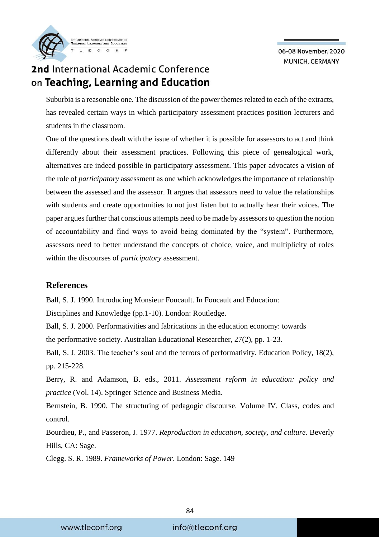

### 2nd International Academic Conference on Teaching, Learning and Education

Suburbia is a reasonable one. The discussion of the power themes related to each of the extracts, has revealed certain ways in which participatory assessment practices position lecturers and students in the classroom.

One of the questions dealt with the issue of whether it is possible for assessors to act and think differently about their assessment practices. Following this piece of genealogical work, alternatives are indeed possible in participatory assessment. This paper advocates a vision of the role of *participatory* assessment as one which acknowledges the importance of relationship between the assessed and the assessor. It argues that assessors need to value the relationships with students and create opportunities to not just listen but to actually hear their voices. The paper argues further that conscious attempts need to be made by assessors to question the notion of accountability and find ways to avoid being dominated by the "system". Furthermore, assessors need to better understand the concepts of choice, voice, and multiplicity of roles within the discourses of *participatory* assessment.

#### **References**

Ball, S. J. 1990. Introducing Monsieur Foucault. In Foucault and Education:

Disciplines and Knowledge (pp.1-10). London: Routledge.

Ball, S. J. 2000. Performativities and fabrications in the education economy: towards the performative society. Australian Educational Researcher, 27(2), pp. 1-23.

Ball, S. J. 2003. The teacher's soul and the terrors of performativity. Education Policy, 18(2), pp. 215-228.

Berry, R. and Adamson, B. eds., 2011. *Assessment reform in education: policy and practice* (Vol. 14). Springer Science and Business Media.

Bernstein, B. 1990. The structuring of pedagogic discourse. Volume IV. Class, codes and control.

Bourdieu, P., and Passeron, J. 1977. *Reproduction in education, society, and culture*. Beverly Hills, CA: Sage.

Clegg. S. R. 1989. *Frameworks of Power*. London: Sage. 149